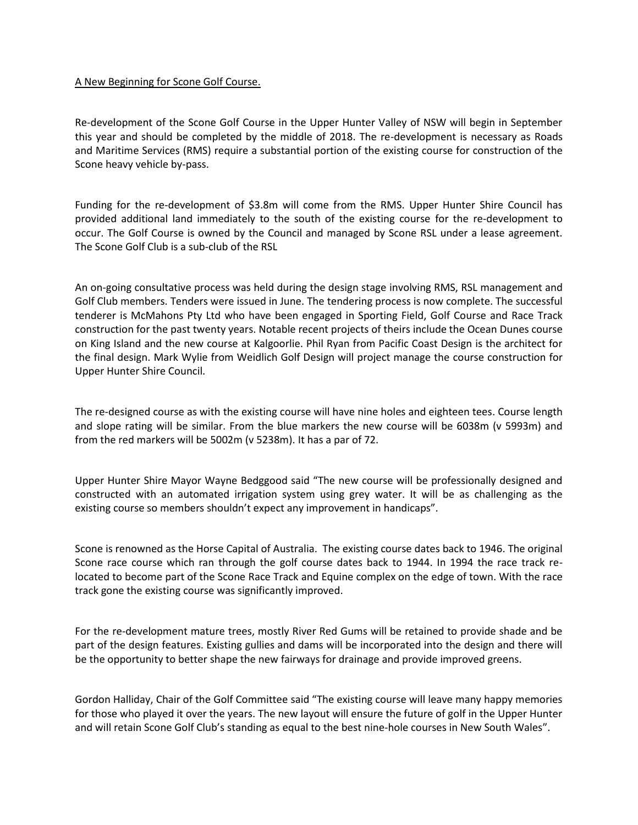## A New Beginning for Scone Golf Course.

Re-development of the Scone Golf Course in the Upper Hunter Valley of NSW will begin in September this year and should be completed by the middle of 2018. The re-development is necessary as Roads and Maritime Services (RMS) require a substantial portion of the existing course for construction of the Scone heavy vehicle by-pass.

Funding for the re-development of \$3.8m will come from the RMS. Upper Hunter Shire Council has provided additional land immediately to the south of the existing course for the re-development to occur. The Golf Course is owned by the Council and managed by Scone RSL under a lease agreement. The Scone Golf Club is a sub-club of the RSL

An on-going consultative process was held during the design stage involving RMS, RSL management and Golf Club members. Tenders were issued in June. The tendering process is now complete. The successful tenderer is McMahons Pty Ltd who have been engaged in Sporting Field, Golf Course and Race Track construction for the past twenty years. Notable recent projects of theirs include the Ocean Dunes course on King Island and the new course at Kalgoorlie. Phil Ryan from Pacific Coast Design is the architect for the final design. Mark Wylie from Weidlich Golf Design will project manage the course construction for Upper Hunter Shire Council.

The re-designed course as with the existing course will have nine holes and eighteen tees. Course length and slope rating will be similar. From the blue markers the new course will be 6038m (v 5993m) and from the red markers will be 5002m (v 5238m). It has a par of 72.

Upper Hunter Shire Mayor Wayne Bedggood said "The new course will be professionally designed and constructed with an automated irrigation system using grey water. It will be as challenging as the existing course so members shouldn't expect any improvement in handicaps".

Scone is renowned as the Horse Capital of Australia. The existing course dates back to 1946. The original Scone race course which ran through the golf course dates back to 1944. In 1994 the race track relocated to become part of the Scone Race Track and Equine complex on the edge of town. With the race track gone the existing course was significantly improved.

For the re-development mature trees, mostly River Red Gums will be retained to provide shade and be part of the design features. Existing gullies and dams will be incorporated into the design and there will be the opportunity to better shape the new fairways for drainage and provide improved greens.

Gordon Halliday, Chair of the Golf Committee said "The existing course will leave many happy memories for those who played it over the years. The new layout will ensure the future of golf in the Upper Hunter and will retain Scone Golf Club's standing as equal to the best nine-hole courses in New South Wales".